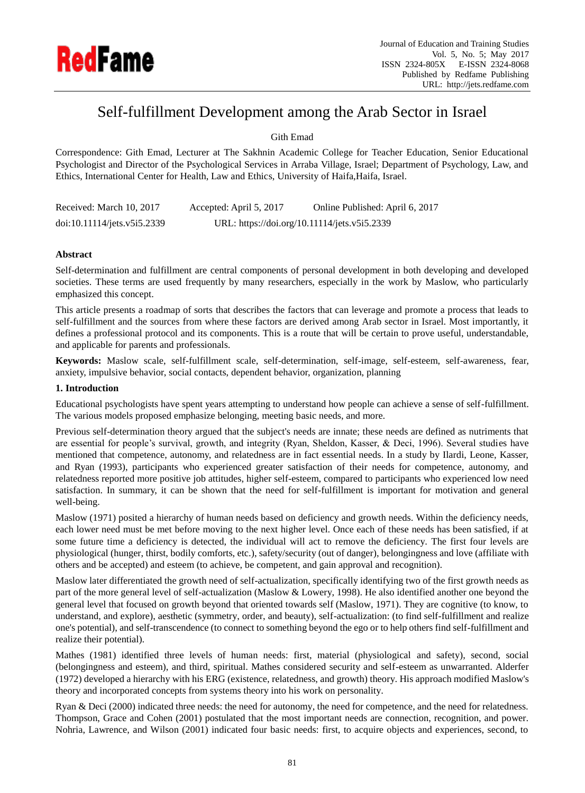

# Self-fulfillment Development among the Arab Sector in Israel

## Gith Emad

Correspondence: Gith Emad, Lecturer at The Sakhnin Academic College for Teacher Education, Senior Educational Psychologist and Director of the Psychological Services in Arraba Village, Israel; Department of Psychology, Law, and Ethics, International Center for Health, Law and Ethics, University of Haifa,Haifa, Israel.

| Received: March 10, 2017    | Accepted: April 5, 2017 | Online Published: April 6, 2017              |
|-----------------------------|-------------------------|----------------------------------------------|
| doi:10.11114/jets.v5i5.2339 |                         | URL: https://doi.org/10.11114/jets.v5i5.2339 |

## **Abstract**

Self-determination and fulfillment are central components of personal development in both developing and developed societies. These terms are used frequently by many researchers, especially in the work by Maslow, who particularly emphasized this concept.

This article presents a roadmap of sorts that describes the factors that can leverage and promote a process that leads to self-fulfillment and the sources from where these factors are derived among Arab sector in Israel. Most importantly, it defines a professional protocol and its components. This is a route that will be certain to prove useful, understandable, and applicable for parents and professionals.

**Keywords:** Maslow scale, self-fulfillment scale, self-determination, self-image, self-esteem, self-awareness, fear, anxiety, impulsive behavior, social contacts, dependent behavior, organization, planning

## **1. Introduction**

Educational psychologists have spent years attempting to understand how people can achieve a sense of self-fulfillment. The various models proposed emphasize belonging, meeting basic needs, and more.

Previous self-determination theory argued that the subject's needs are innate; these needs are defined as nutriments that are essential for people's survival, growth, and integrity (Ryan, Sheldon, Kasser, & Deci, 1996). Several studies have mentioned that competence, autonomy, and relatedness are in fact essential needs. In a study by Ilardi, Leone, Kasser, and Ryan (1993), participants who experienced greater satisfaction of their needs for competence, autonomy, and relatedness reported more positive job attitudes, higher self-esteem, compared to participants who experienced low need satisfaction. In summary, it can be shown that the need for self-fulfillment is important for motivation and general well-being.

Maslow (1971) posited a hierarchy of human needs based on deficiency and growth needs. Within the deficiency needs, each lower need must be met before moving to the next higher level. Once each of these needs has been satisfied, if at some future time a deficiency is detected, the individual will act to remove the deficiency. The first four levels are physiological (hunger, thirst, bodily comforts, etc.), safety/security (out of danger), belongingness and love (affiliate with others and be accepted) and esteem (to achieve, be competent, and gain approval and recognition).

Maslow later differentiated the growth need of self-actualization, specifically identifying two of the first growth needs as part of the more general level of self-actualization (Maslow & Lowery, 1998). He also identified another one beyond the general level that focused on growth beyond that oriented towards self (Maslow, 1971). They are cognitive (to know, to understand, and explore), aesthetic (symmetry, order, and beauty), self-actualization: (to find self-fulfillment and realize one's potential), and self-transcendence (to connect to something beyond the ego or to help others find self-fulfillment and realize their potential).

Mathes (1981) identified three levels of human needs: first, material (physiological and safety), second, social (belongingness and esteem), and third, spiritual. Mathes considered security and self-esteem as unwarranted. Alderfer (1972) developed a hierarchy with his ERG (existence, relatedness, and growth) theory. His approach modified Maslow's theory and incorporated concepts from systems theory into his work on personality.

Ryan & Deci (2000) indicated three needs: the need for autonomy, the need for competence, and the need for relatedness. Thompson, Grace and Cohen (2001) postulated that the most important needs are connection, recognition, and power. Nohria, Lawrence, and Wilson (2001) indicated four basic needs: first, to acquire objects and experiences, second, to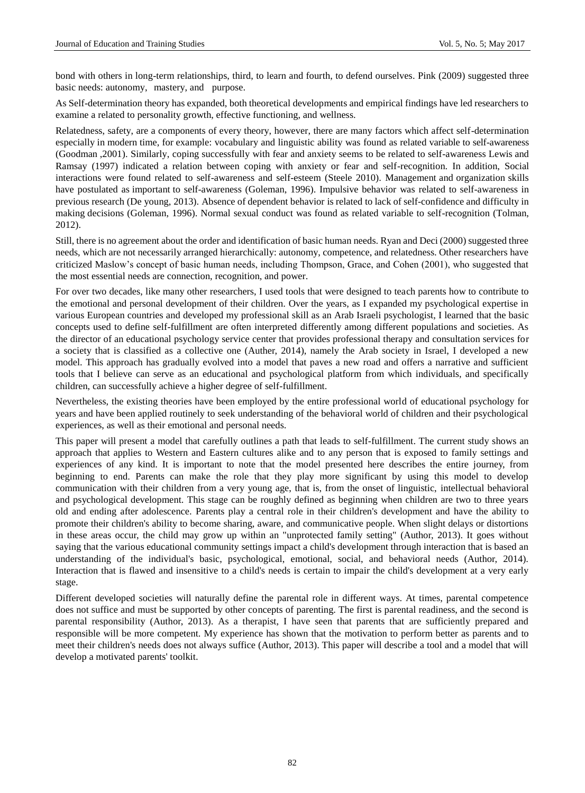bond with others in long-term relationships, third, to learn and fourth, to defend ourselves. Pink (2009) suggested three basic needs: autonomy, mastery, and purpose.

As Self-determination theory has expanded, both theoretical developments and empirical findings have led researchers to examine a related to personality growth, effective functioning, and wellness.

Relatedness, safety, are a components of every theory, however, there are many factors which affect self-determination especially in modern time, for example: vocabulary and linguistic ability was found as related variable to self-awareness (Goodman ,2001). Similarly, coping successfully with fear and anxiety seems to be related to self-awareness Lewis and Ramsay (1997) indicated a relation between coping with anxiety or fear and self-recognition. In addition, Social interactions were found related to self-awareness and self-esteem (Steele 2010). Management and organization skills have postulated as important to self-awareness (Goleman, 1996). Impulsive behavior was related to self-awareness in previous research (De young, 2013). Absence of dependent behavior is related to lack of self-confidence and difficulty in making decisions (Goleman, 1996). Normal sexual conduct was found as related variable to self-recognition (Tolman, 2012).

Still, there is no agreement about the order and identification of basic human needs. Ryan and Deci (2000) suggested three needs, which are not necessarily arranged hierarchically: autonomy, competence, and relatedness. Other researchers have criticized Maslow's concept of basic human needs, including Thompson, Grace, and Cohen (2001), who suggested that the most essential needs are connection, recognition, and power.

For over two decades, like many other researchers, I used tools that were designed to teach parents how to contribute to the emotional and personal development of their children. Over the years, as I expanded my psychological expertise in various European countries and developed my professional skill as an Arab Israeli psychologist, I learned that the basic concepts used to define self-fulfillment are often interpreted differently among different populations and societies. As the director of an educational psychology service center that provides professional therapy and consultation services for a society that is classified as a collective one (Auther, 2014), namely the Arab society in Israel, I developed a new model. This approach has gradually evolved into a model that paves a new road and offers a narrative and sufficient tools that I believe can serve as an educational and psychological platform from which individuals, and specifically children, can successfully achieve a higher degree of self-fulfillment.

Nevertheless, the existing theories have been employed by the entire professional world of educational psychology for years and have been applied routinely to seek understanding of the behavioral world of children and their psychological experiences, as well as their emotional and personal needs.

This paper will present a model that carefully outlines a path that leads to self-fulfillment. The current study shows an approach that applies to Western and Eastern cultures alike and to any person that is exposed to family settings and experiences of any kind. It is important to note that the model presented here describes the entire journey, from beginning to end. Parents can make the role that they play more significant by using this model to develop communication with their children from a very young age, that is, from the onset of linguistic, intellectual behavioral and psychological development. This stage can be roughly defined as beginning when children are two to three years old and ending after adolescence. Parents play a central role in their children's development and have the ability to promote their children's ability to become sharing, aware, and communicative people. When slight delays or distortions in these areas occur, the child may grow up within an "unprotected family setting" (Author, 2013). It goes without saying that the various educational community settings impact a child's development through interaction that is based an understanding of the individual's basic, psychological, emotional, social, and behavioral needs (Author, 2014). Interaction that is flawed and insensitive to a child's needs is certain to impair the child's development at a very early stage.

Different developed societies will naturally define the parental role in different ways. At times, parental competence does not suffice and must be supported by other concepts of parenting. The first is parental readiness, and the second is parental responsibility (Author, 2013). As a therapist, I have seen that parents that are sufficiently prepared and responsible will be more competent. My experience has shown that the motivation to perform better as parents and to meet their children's needs does not always suffice (Author, 2013). This paper will describe a tool and a model that will develop a motivated parents' toolkit.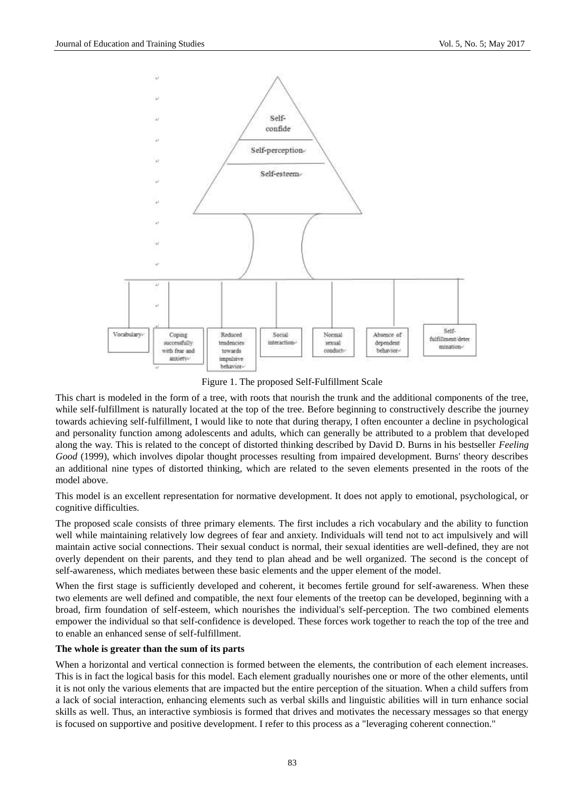

Figure 1. The proposed Self-Fulfillment Scale

This chart is modeled in the form of a tree, with roots that nourish the trunk and the additional components of the tree, while self-fulfillment is naturally located at the top of the tree. Before beginning to constructively describe the journey towards achieving self-fulfillment, I would like to note that during therapy, I often encounter a decline in psychological and personality function among adolescents and adults, which can generally be attributed to a problem that developed along the way. This is related to the concept of distorted thinking described by David D. Burns in his bestseller *Feeling Good* (1999), which involves dipolar thought processes resulting from impaired development. Burns' theory describes an additional nine types of distorted thinking, which are related to the seven elements presented in the roots of the model above.

This model is an excellent representation for normative development. It does not apply to emotional, psychological, or cognitive difficulties.

The proposed scale consists of three primary elements. The first includes a rich vocabulary and the ability to function well while maintaining relatively low degrees of fear and anxiety. Individuals will tend not to act impulsively and will maintain active social connections. Their sexual conduct is normal, their sexual identities are well-defined, they are not overly dependent on their parents, and they tend to plan ahead and be well organized. The second is the concept of self-awareness, which mediates between these basic elements and the upper element of the model.

When the first stage is sufficiently developed and coherent, it becomes fertile ground for self-awareness. When these two elements are well defined and compatible, the next four elements of the treetop can be developed, beginning with a broad, firm foundation of self-esteem, which nourishes the individual's self-perception. The two combined elements empower the individual so that self-confidence is developed. These forces work together to reach the top of the tree and to enable an enhanced sense of self-fulfillment.

## **The whole is greater than the sum of its parts**

When a horizontal and vertical connection is formed between the elements, the contribution of each element increases. This is in fact the logical basis for this model. Each element gradually nourishes one or more of the other elements, until it is not only the various elements that are impacted but the entire perception of the situation. When a child suffers from a lack of social interaction, enhancing elements such as verbal skills and linguistic abilities will in turn enhance social skills as well. Thus, an interactive symbiosis is formed that drives and motivates the necessary messages so that energy is focused on supportive and positive development. I refer to this process as a "leveraging coherent connection."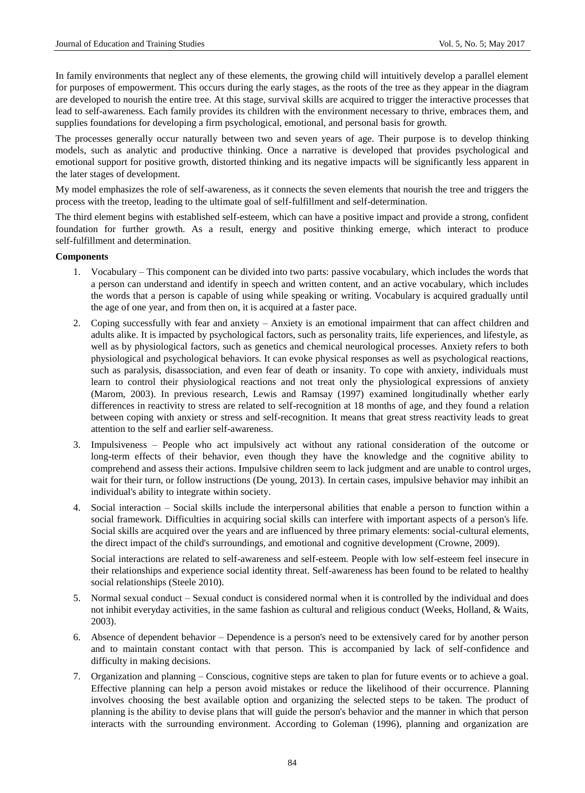In family environments that neglect any of these elements, the growing child will intuitively develop a parallel element for purposes of empowerment. This occurs during the early stages, as the roots of the tree as they appear in the diagram are developed to nourish the entire tree. At this stage, survival skills are acquired to trigger the interactive processes that lead to self-awareness. Each family provides its children with the environment necessary to thrive, embraces them, and supplies foundations for developing a firm psychological, emotional, and personal basis for growth.

The processes generally occur naturally between two and seven years of age. Their purpose is to develop thinking models, such as analytic and productive thinking. Once a narrative is developed that provides psychological and emotional support for positive growth, distorted thinking and its negative impacts will be significantly less apparent in the later stages of development.

My model emphasizes the role of self-awareness, as it connects the seven elements that nourish the tree and triggers the process with the treetop, leading to the ultimate goal of self-fulfillment and self-determination.

The third element begins with established self-esteem, which can have a positive impact and provide a strong, confident foundation for further growth. As a result, energy and positive thinking emerge, which interact to produce self-fulfillment and determination.

#### **Components**

- 1. Vocabulary This component can be divided into two parts: passive vocabulary, which includes the words that a person can understand and identify in speech and written content, and an active vocabulary, which includes the words that a person is capable of using while speaking or writing. Vocabulary is acquired gradually until the age of one year, and from then on, it is acquired at a faster pace.
- 2. Coping successfully with fear and anxiety Anxiety is an emotional impairment that can affect children and adults alike. It is impacted by psychological factors, such as personality traits, life experiences, and lifestyle, as well as by physiological factors, such as genetics and chemical neurological processes. Anxiety refers to both physiological and psychological behaviors. It can evoke physical responses as well as psychological reactions, such as paralysis, disassociation, and even fear of death or insanity. To cope with anxiety, individuals must learn to control their physiological reactions and not treat only the physiological expressions of anxiety (Marom, 2003). In previous research, Lewis and Ramsay (1997) examined longitudinally whether early differences in reactivity to stress are related to self-recognition at 18 months of age, and they found a relation between coping with anxiety or stress and self-recognition. It means that great stress reactivity leads to great attention to the self and earlier self-awareness.
- 3. Impulsiveness People who act impulsively act without any rational consideration of the outcome or long-term effects of their behavior, even though they have the knowledge and the cognitive ability to comprehend and assess their actions. Impulsive children seem to lack judgment and are unable to control urges, wait for their turn, or follow instructions (De young, 2013). In certain cases, impulsive behavior may inhibit an individual's ability to integrate within society.
- 4. Social interaction Social skills include the interpersonal abilities that enable a person to function within a social framework. Difficulties in acquiring social skills can interfere with important aspects of a person's life. Social skills are acquired over the years and are influenced by three primary elements: social-cultural elements, the direct impact of the child's surroundings, and emotional and cognitive development (Crowne, 2009).

Social interactions are related to self-awareness and self-esteem. People with low self-esteem feel insecure in their relationships and experience social identity threat. Self-awareness has been found to be related to healthy social relationships (Steele 2010).

- 5. Normal sexual conduct Sexual conduct is considered normal when it is controlled by the individual and does not inhibit everyday activities, in the same fashion as cultural and religious conduct (Weeks, Holland, & Waits, 2003).
- 6. Absence of dependent behavior Dependence is a person's need to be extensively cared for by another person and to maintain constant contact with that person. This is accompanied by lack of self-confidence and difficulty in making decisions.
- 7. Organization and planning Conscious, cognitive steps are taken to plan for future events or to achieve a goal. Effective planning can help a person avoid mistakes or reduce the likelihood of their occurrence. Planning involves choosing the best available option and organizing the selected steps to be taken. The product of planning is the ability to devise plans that will guide the person's behavior and the manner in which that person interacts with the surrounding environment. According to Goleman (1996), planning and organization are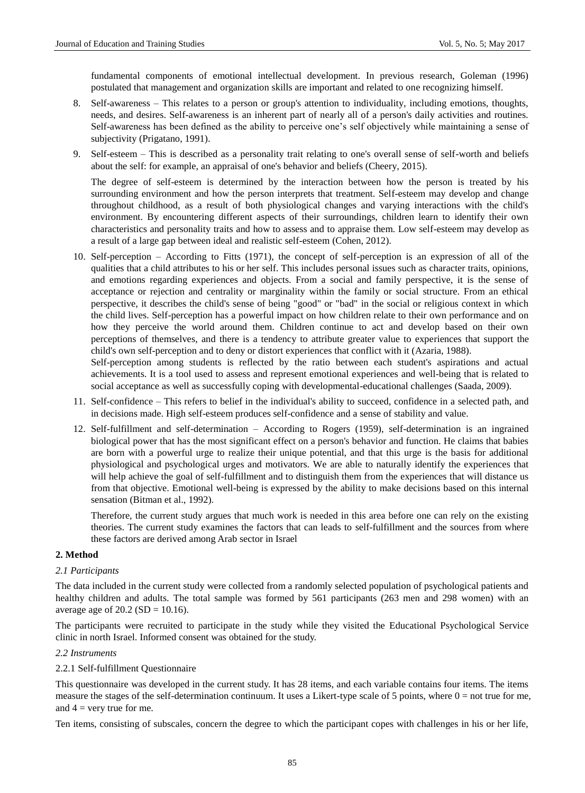fundamental components of emotional intellectual development. In previous research, Goleman (1996) postulated that management and organization skills are important and related to one recognizing himself.

- 8. Self-awareness This relates to a person or group's attention to individuality, including emotions, thoughts, needs, and desires. Self-awareness is an inherent part of nearly all of a person's daily activities and routines. Self-awareness has been defined as the ability to perceive one's self objectively while maintaining a sense of subjectivity (Prigatano, 1991).
- 9. Self-esteem This is described as a personality trait relating to one's overall sense of self-worth and beliefs about the self: for example, an appraisal of one's behavior and beliefs (Cheery, 2015).

The degree of self-esteem is determined by the interaction between how the person is treated by his surrounding environment and how the person interprets that treatment. Self-esteem may develop and change throughout childhood, as a result of both physiological changes and varying interactions with the child's environment. By encountering different aspects of their surroundings, children learn to identify their own characteristics and personality traits and how to assess and to appraise them. Low self-esteem may develop as a result of a large gap between ideal and realistic self-esteem (Cohen, 2012).

10. Self-perception – According to Fitts (1971), the concept of self-perception is an expression of all of the qualities that a child attributes to his or her self. This includes personal issues such as character traits, opinions, and emotions regarding experiences and objects. From a social and family perspective, it is the sense of acceptance or rejection and centrality or marginality within the family or social structure. From an ethical perspective, it describes the child's sense of being "good" or "bad" in the social or religious context in which the child lives. Self-perception has a powerful impact on how children relate to their own performance and on how they perceive the world around them. Children continue to act and develop based on their own perceptions of themselves, and there is a tendency to attribute greater value to experiences that support the child's own self-perception and to deny or distort experiences that conflict with it (Azaria, 1988).

Self-perception among students is reflected by the ratio between each student's aspirations and actual achievements. It is a tool used to assess and represent emotional experiences and well-being that is related to social acceptance as well as successfully coping with developmental-educational challenges (Saada, 2009).

- 11. Self-confidence This refers to belief in the individual's ability to succeed, confidence in a selected path, and in decisions made. High self-esteem produces self-confidence and a sense of stability and value.
- 12. Self-fulfillment and self-determination According to Rogers (1959), self-determination is an ingrained biological power that has the most significant effect on a person's behavior and function. He claims that babies are born with a powerful urge to realize their unique potential, and that this urge is the basis for additional physiological and psychological urges and motivators. We are able to naturally identify the experiences that will help achieve the goal of self-fulfillment and to distinguish them from the experiences that will distance us from that objective. Emotional well-being is expressed by the ability to make decisions based on this internal sensation (Bitman et al., 1992).

Therefore, the current study argues that much work is needed in this area before one can rely on the existing theories. The current study examines the factors that can leads to self-fulfillment and the sources from where these factors are derived among Arab sector in Israel

## **2. Method**

## *2.1 Participants*

The data included in the current study were collected from a randomly selected population of psychological patients and healthy children and adults. The total sample was formed by 561 participants (263 men and 298 women) with an average age of  $20.2$  (SD = 10.16).

The participants were recruited to participate in the study while they visited the Educational Psychological Service clinic in north Israel. Informed consent was obtained for the study.

## *2.2 Instruments*

## 2.2.1 Self-fulfillment Questionnaire

This questionnaire was developed in the current study. It has 28 items, and each variable contains four items. The items measure the stages of the self-determination continuum. It uses a Likert-type scale of 5 points, where  $0 = not$  true for me, and  $4 =$  very true for me.

Ten items, consisting of subscales, concern the degree to which the participant copes with challenges in his or her life,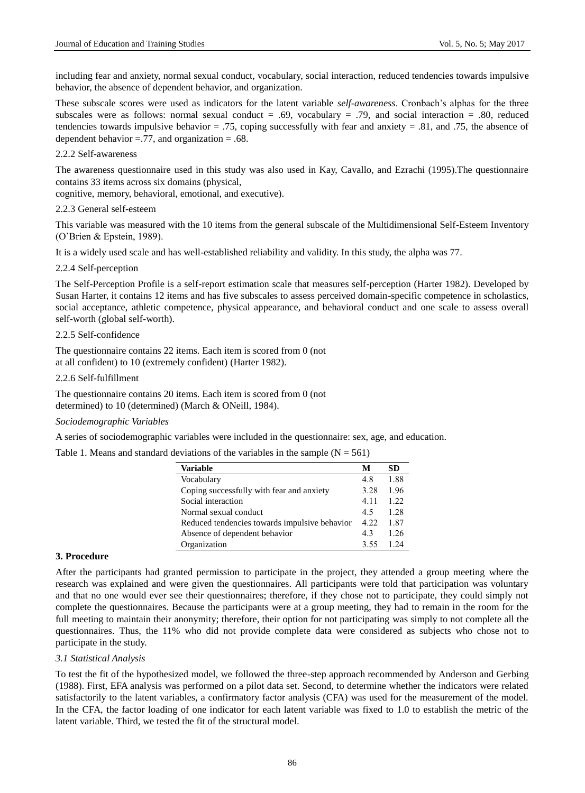including fear and anxiety, normal sexual conduct, vocabulary, social interaction, reduced tendencies towards impulsive behavior, the absence of dependent behavior, and organization.

These subscale scores were used as indicators for the latent variable *self-awareness*. Cronbach's alphas for the three subscales were as follows: normal sexual conduct = .69, vocabulary = .79, and social interaction = .80, reduced tendencies towards impulsive behavior  $= .75$ , coping successfully with fear and anxiety  $= .81$ , and  $.75$ , the absence of dependent behavior  $= .77$ , and organization  $= .68$ .

## 2.2.2 Self-awareness

The awareness questionnaire used in this study was also used in Kay, Cavallo, and Ezrachi (1995).The questionnaire contains 33 items across six domains (physical,

cognitive, memory, behavioral, emotional, and executive).

2.2.3 General self-esteem

This variable was measured with the 10 items from the general subscale of the Multidimensional Self-Esteem Inventory (O'Brien & Epstein, 1989).

It is a widely used scale and has well-established reliability and validity. In this study, the alpha was 77.

#### 2.2.4 Self-perception

The Self-Perception Profile is a self-report estimation scale that measures self-perception (Harter 1982). Developed by Susan Harter, it contains 12 items and has five subscales to assess perceived domain-specific competence in scholastics, social acceptance, athletic competence, physical appearance, and behavioral conduct and one scale to assess overall self-worth (global self-worth).

#### 2.2.5 Self-confidence

The questionnaire contains 22 items. Each item is scored from 0 (not at all confident) to 10 (extremely confident) (Harter 1982).

#### 2.2.6 Self-fulfillment

The questionnaire contains 20 items. Each item is scored from 0 (not determined) to 10 (determined) (March & ONeill, 1984).

*Sociodemographic Variables*

A series of sociodemographic variables were included in the questionnaire: sex, age, and education.

Table 1. Means and standard deviations of the variables in the sample  $(N = 561)$ 

| <b>Variable</b>                               | М    | SD   |
|-----------------------------------------------|------|------|
| Vocabulary                                    | 48   | 1.88 |
| Coping successfully with fear and anxiety     | 3.28 | 1.96 |
| Social interaction                            | 4.11 | 122  |
| Normal sexual conduct                         | 45   | 1 28 |
| Reduced tendencies towards impulsive behavior | 4.22 | 1.87 |
| Absence of dependent behavior                 | 43   | 1 26 |
| Organization                                  | 3.55 | 1 24 |

#### **3. Procedure**

After the participants had granted permission to participate in the project, they attended a group meeting where the research was explained and were given the questionnaires. All participants were told that participation was voluntary and that no one would ever see their questionnaires; therefore, if they chose not to participate, they could simply not complete the questionnaires. Because the participants were at a group meeting, they had to remain in the room for the full meeting to maintain their anonymity; therefore, their option for not participating was simply to not complete all the questionnaires. Thus, the 11% who did not provide complete data were considered as subjects who chose not to participate in the study.

#### *3.1 Statistical Analysis*

To test the fit of the hypothesized model, we followed the three-step approach recommended by Anderson and Gerbing (1988). First, EFA analysis was performed on a pilot data set. Second, to determine whether the indicators were related satisfactorily to the latent variables, a confirmatory factor analysis (CFA) was used for the measurement of the model. In the CFA, the factor loading of one indicator for each latent variable was fixed to 1.0 to establish the metric of the latent variable. Third, we tested the fit of the structural model.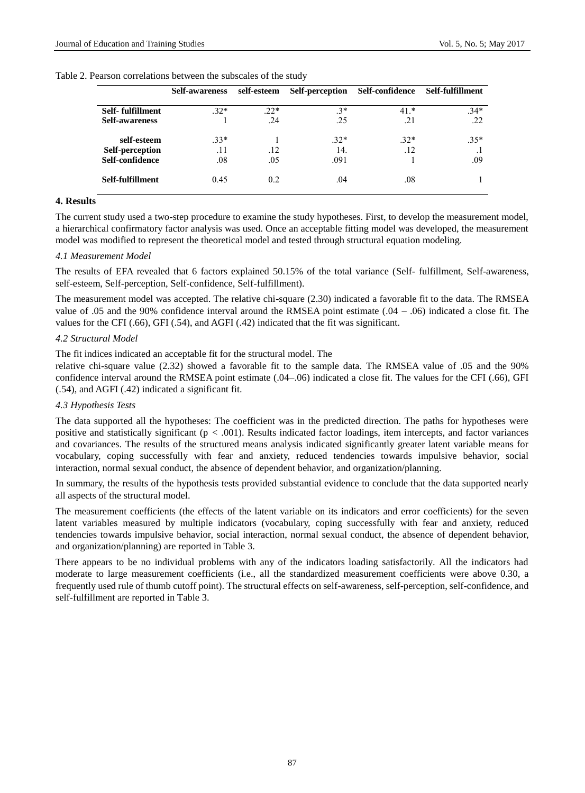| Table 2. Pearson correlations between the subscales of the study |  |  |  |  |  |  |
|------------------------------------------------------------------|--|--|--|--|--|--|
|------------------------------------------------------------------|--|--|--|--|--|--|

|                       | <b>Self-awareness</b> | self-esteem | Self-perception | Self-confidence | Self-fulfillment |
|-----------------------|-----------------------|-------------|-----------------|-----------------|------------------|
| Self-fulfillment      | $.32*$                | $22*$       | $3*$            | $41.*$          | $34*$            |
| <b>Self-awareness</b> |                       | .24         | .25             | .21             | .22              |
| self-esteem           | $33*$                 |             | $.32*$          | $32*$           | $.35*$           |
| Self-perception       | .11                   | .12         | 14.             | .12             |                  |
| Self-confidence       | .08                   | .05         | .091            |                 | .09              |
| Self-fulfillment      | 0.45                  | 0.2         | .04             | .08             |                  |
|                       |                       |             |                 |                 |                  |

## **4. Results**

The current study used a two-step procedure to examine the study hypotheses. First, to develop the measurement model, a hierarchical confirmatory factor analysis was used. Once an acceptable fitting model was developed, the measurement model was modified to represent the theoretical model and tested through structural equation modeling.

#### *4.1 Measurement Model*

The results of EFA revealed that 6 factors explained 50.15% of the total variance (Self- fulfillment, Self-awareness, self-esteem, Self-perception, Self-confidence, Self-fulfillment).

The measurement model was accepted. The relative chi-square (2.30) indicated a favorable fit to the data. The RMSEA value of .05 and the 90% confidence interval around the RMSEA point estimate  $(.04 - .06)$  indicated a close fit. The values for the CFI (.66), GFI (.54), and AGFI (.42) indicated that the fit was significant.

#### *4.2 Structural Model*

The fit indices indicated an acceptable fit for the structural model. The

relative chi-square value (2.32) showed a favorable fit to the sample data. The RMSEA value of .05 and the 90% confidence interval around the RMSEA point estimate (.04–.06) indicated a close fit. The values for the CFI (.66), GFI (.54), and AGFI (.42) indicated a significant fit.

## *4.3 Hypothesis Tests*

The data supported all the hypotheses: The coefficient was in the predicted direction. The paths for hypotheses were positive and statistically significant (p *<* .001). Results indicated factor loadings, item intercepts, and factor variances and covariances. The results of the structured means analysis indicated significantly greater latent variable means for vocabulary, coping successfully with fear and anxiety, reduced tendencies towards impulsive behavior, social interaction, normal sexual conduct, the absence of dependent behavior, and organization/planning.

In summary, the results of the hypothesis tests provided substantial evidence to conclude that the data supported nearly all aspects of the structural model.

The measurement coefficients (the effects of the latent variable on its indicators and error coefficients) for the seven latent variables measured by multiple indicators (vocabulary, coping successfully with fear and anxiety, reduced tendencies towards impulsive behavior, social interaction, normal sexual conduct, the absence of dependent behavior, and organization/planning) are reported in Table 3.

There appears to be no individual problems with any of the indicators loading satisfactorily. All the indicators had moderate to large measurement coefficients (i.e., all the standardized measurement coefficients were above 0.30, a frequently used rule of thumb cutoff point). The structural effects on self-awareness, self-perception, self-confidence, and self-fulfillment are reported in Table 3.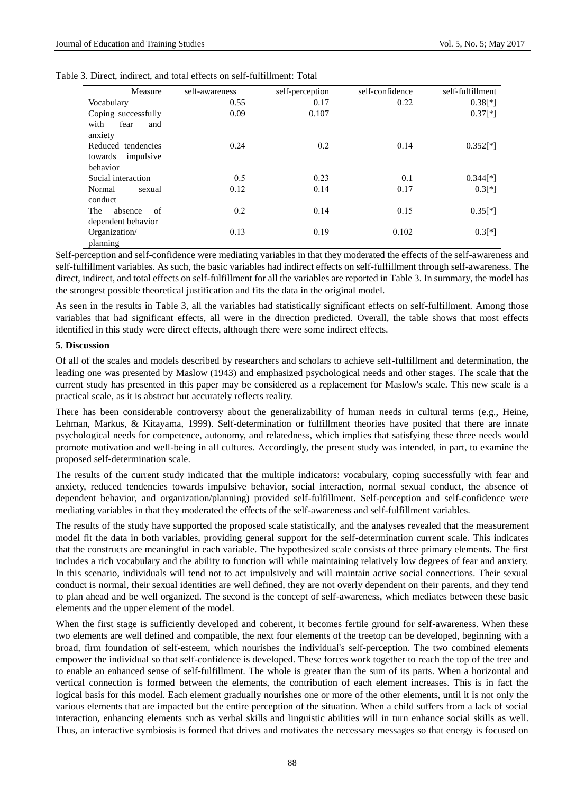| Measure                                                | self-awareness | self-perception | self-confidence | self-fulfillment |
|--------------------------------------------------------|----------------|-----------------|-----------------|------------------|
| Vocabulary                                             | 0.55           | 0.17            | 0.22            | $0.38$ [*]       |
| Coping successfully<br>with<br>fear<br>and<br>anxiety  | 0.09           | 0.107           |                 | $0.37[*]$        |
| Reduced tendencies<br>impulsive<br>towards<br>behavior | 0.24           | 0.2             | 0.14            | $0.352[*]$       |
| Social interaction                                     | 0.5            | 0.23            | 0.1             | $0.344$ [*]      |
| Normal<br>sexual<br>conduct                            | 0.12           | 0.14            | 0.17            | $0.3[*]$         |
| The<br>absence<br>of<br>dependent behavior             | 0.2            | 0.14            | 0.15            | $0.35[*!]$       |
| Organization/<br>planning                              | 0.13           | 0.19            | 0.102           | $0.3[*]$         |

Self-perception and self-confidence were mediating variables in that they moderated the effects of the self-awareness and self-fulfillment variables. As such, the basic variables had indirect effects on self-fulfillment through self-awareness. The direct, indirect, and total effects on self-fulfillment for all the variables are reported in Table 3. In summary, the model has the strongest possible theoretical justification and fits the data in the original model.

As seen in the results in Table 3, all the variables had statistically significant effects on self-fulfillment. Among those variables that had significant effects, all were in the direction predicted. Overall, the table shows that most effects identified in this study were direct effects, although there were some indirect effects.

#### **5. Discussion**

Of all of the scales and models described by researchers and scholars to achieve self-fulfillment and determination, the leading one was presented by Maslow (1943) and emphasized psychological needs and other stages. The scale that the current study has presented in this paper may be considered as a replacement for Maslow's scale. This new scale is a practical scale, as it is abstract but accurately reflects reality.

There has been considerable controversy about the generalizability of human needs in cultural terms (e.g., Heine, Lehman, Markus, & Kitayama, 1999). Self-determination or fulfillment theories have posited that there are innate psychological needs for competence, autonomy, and relatedness, which implies that satisfying these three needs would promote motivation and well-being in all cultures. Accordingly, the present study was intended, in part, to examine the proposed self-determination scale.

The results of the current study indicated that the multiple indicators: vocabulary, coping successfully with fear and anxiety, reduced tendencies towards impulsive behavior, social interaction, normal sexual conduct, the absence of dependent behavior, and organization/planning) provided self-fulfillment. Self-perception and self-confidence were mediating variables in that they moderated the effects of the self-awareness and self-fulfillment variables.

The results of the study have supported the proposed scale statistically, and the analyses revealed that the measurement model fit the data in both variables, providing general support for the self-determination current scale. This indicates that the constructs are meaningful in each variable. The hypothesized scale consists of three primary elements. The first includes a rich vocabulary and the ability to function will while maintaining relatively low degrees of fear and anxiety. In this scenario, individuals will tend not to act impulsively and will maintain active social connections. Their sexual conduct is normal, their sexual identities are well defined, they are not overly dependent on their parents, and they tend to plan ahead and be well organized. The second is the concept of self-awareness, which mediates between these basic elements and the upper element of the model.

When the first stage is sufficiently developed and coherent, it becomes fertile ground for self-awareness. When these two elements are well defined and compatible, the next four elements of the treetop can be developed, beginning with a broad, firm foundation of self-esteem, which nourishes the individual's self-perception. The two combined elements empower the individual so that self-confidence is developed. These forces work together to reach the top of the tree and to enable an enhanced sense of self-fulfillment. The whole is greater than the sum of its parts. When a horizontal and vertical connection is formed between the elements, the contribution of each element increases. This is in fact the logical basis for this model. Each element gradually nourishes one or more of the other elements, until it is not only the various elements that are impacted but the entire perception of the situation. When a child suffers from a lack of social interaction, enhancing elements such as verbal skills and linguistic abilities will in turn enhance social skills as well. Thus, an interactive symbiosis is formed that drives and motivates the necessary messages so that energy is focused on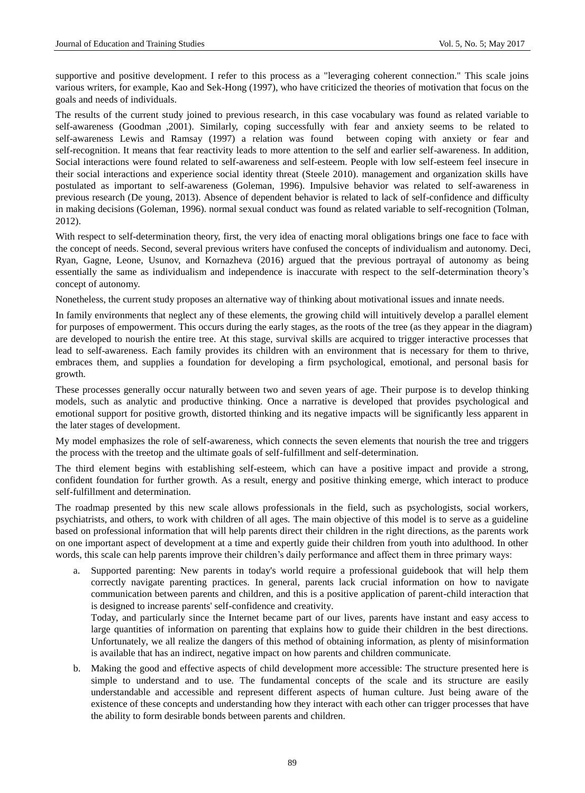supportive and positive development. I refer to this process as a "leveraging coherent connection." This scale joins various writers, for example, Kao and Sek-Hong (1997), who have criticized the theories of motivation that focus on the goals and needs of individuals.

The results of the current study joined to previous research, in this case vocabulary was found as related variable to self-awareness (Goodman ,2001). Similarly, coping successfully with fear and anxiety seems to be related to self-awareness Lewis and Ramsay (1997) a relation was found between coping with anxiety or fear and self-recognition. It means that fear reactivity leads to more attention to the self and earlier self-awareness. In addition, Social interactions were found related to self-awareness and self-esteem. People with low self-esteem feel insecure in their social interactions and experience social identity threat (Steele 2010). management and organization skills have postulated as important to self-awareness (Goleman, 1996). Impulsive behavior was related to self-awareness in previous research (De young, 2013). Absence of dependent behavior is related to lack of self-confidence and difficulty in making decisions (Goleman, 1996). normal sexual conduct was found as related variable to self-recognition (Tolman, 2012).

With respect to self-determination theory, first, the very idea of enacting moral obligations brings one face to face with the concept of needs. Second, several previous writers have confused the concepts of individualism and autonomy. Deci, Ryan, Gagne, Leone, Usunov, and Kornazheva (2016) argued that the previous portrayal of autonomy as being essentially the same as individualism and independence is inaccurate with respect to the self-determination theory's concept of autonomy.

Nonetheless, the current study proposes an alternative way of thinking about motivational issues and innate needs.

In family environments that neglect any of these elements, the growing child will intuitively develop a parallel element for purposes of empowerment. This occurs during the early stages, as the roots of the tree (as they appear in the diagram) are developed to nourish the entire tree. At this stage, survival skills are acquired to trigger interactive processes that lead to self-awareness. Each family provides its children with an environment that is necessary for them to thrive, embraces them, and supplies a foundation for developing a firm psychological, emotional, and personal basis for growth.

These processes generally occur naturally between two and seven years of age. Their purpose is to develop thinking models, such as analytic and productive thinking. Once a narrative is developed that provides psychological and emotional support for positive growth, distorted thinking and its negative impacts will be significantly less apparent in the later stages of development.

My model emphasizes the role of self-awareness, which connects the seven elements that nourish the tree and triggers the process with the treetop and the ultimate goals of self-fulfillment and self-determination.

The third element begins with establishing self-esteem, which can have a positive impact and provide a strong, confident foundation for further growth. As a result, energy and positive thinking emerge, which interact to produce self-fulfillment and determination.

The roadmap presented by this new scale allows professionals in the field, such as psychologists, social workers, psychiatrists, and others, to work with children of all ages. The main objective of this model is to serve as a guideline based on professional information that will help parents direct their children in the right directions, as the parents work on one important aspect of development at a time and expertly guide their children from youth into adulthood. In other words, this scale can help parents improve their children's daily performance and affect them in three primary ways:

a. Supported parenting: New parents in today's world require a professional guidebook that will help them correctly navigate parenting practices. In general, parents lack crucial information on how to navigate communication between parents and children, and this is a positive application of parent-child interaction that is designed to increase parents' self-confidence and creativity.

Today, and particularly since the Internet became part of our lives, parents have instant and easy access to large quantities of information on parenting that explains how to guide their children in the best directions. Unfortunately, we all realize the dangers of this method of obtaining information, as plenty of misinformation is available that has an indirect, negative impact on how parents and children communicate.

b. Making the good and effective aspects of child development more accessible: The structure presented here is simple to understand and to use. The fundamental concepts of the scale and its structure are easily understandable and accessible and represent different aspects of human culture. Just being aware of the existence of these concepts and understanding how they interact with each other can trigger processes that have the ability to form desirable bonds between parents and children.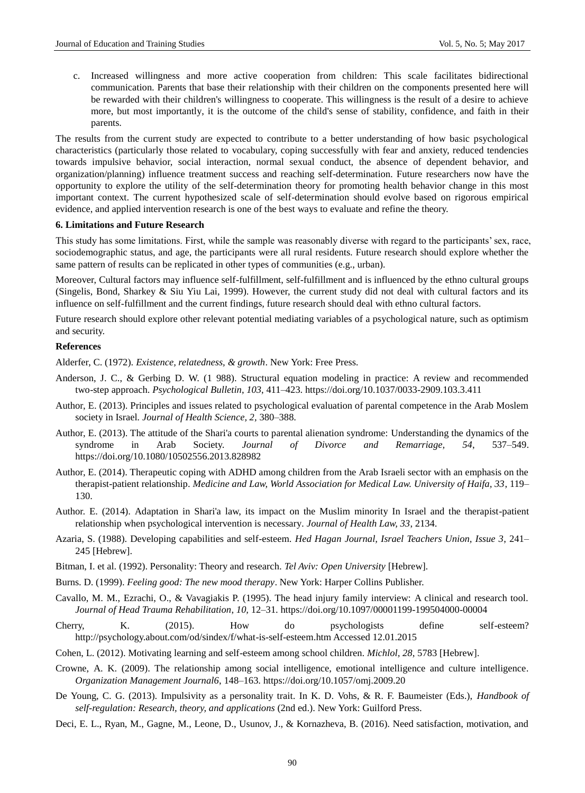c. Increased willingness and more active cooperation from children: This scale facilitates bidirectional communication. Parents that base their relationship with their children on the components presented here will be rewarded with their children's willingness to cooperate. This willingness is the result of a desire to achieve more, but most importantly, it is the outcome of the child's sense of stability, confidence, and faith in their parents.

The results from the current study are expected to contribute to a better understanding of how basic psychological characteristics (particularly those related to vocabulary, coping successfully with fear and anxiety, reduced tendencies towards impulsive behavior, social interaction, normal sexual conduct, the absence of dependent behavior, and organization/planning) influence treatment success and reaching self-determination. Future researchers now have the opportunity to explore the utility of the self-determination theory for promoting health behavior change in this most important context. The current hypothesized scale of self-determination should evolve based on rigorous empirical evidence, and applied intervention research is one of the best ways to evaluate and refine the theory.

#### **6. Limitations and Future Research**

This study has some limitations. First, while the sample was reasonably diverse with regard to the participants' sex, race, sociodemographic status, and age, the participants were all rural residents. Future research should explore whether the same pattern of results can be replicated in other types of communities (e.g., urban).

Moreover, Cultural factors may influence self-fulfillment, self-fulfillment and is influenced by the ethno cultural groups (Singelis, Bond, Sharkey & Siu Yiu Lai, 1999). However, the current study did not deal with cultural factors and its influence on self-fulfillment and the current findings, future research should deal with ethno cultural factors.

Future research should explore other relevant potential mediating variables of a psychological nature, such as optimism and security.

#### **References**

Alderfer, C. (1972). *Existence, relatedness, & growth*. New York: Free Press.

- Anderson, J. C., & Gerbing D. W. (1 988). Structural equation modeling in practice: A review and recommended two-step approach. *Psychological Bulletin*, *103*, 411–423[. https://doi.org/10.1037/0033-2909.103.3.411](https://doi.org/10.1037/0033-2909.103.3.411)
- Author, E. (2013). Principles and issues related to psychological evaluation of parental competence in the Arab Moslem society in Israel*. Journal of Health Science, 2,* 380–388.
- Author, E. (2013). The attitude of the Shari'a courts to parental alienation syndrome: Understanding the dynamics of the syndrome in Arab Society. *Journal of Divorce and Remarriage, 54*, 537–549. <https://doi.org/10.1080/10502556.2013.828982>
- Author, E. (2014). Therapeutic coping with ADHD among children from the Arab Israeli sector with an emphasis on the therapist-patient relationship. *Medicine and Law, World Association for Medical Law. University of Haifa, 33*, 119– 130.
- Author. E. (2014). Adaptation in Shari'a law, its impact on the Muslim minority In Israel and the therapist-patient relationship when psychological intervention is necessary*. Journal of Health Law, 33*, 2134.
- Azaria, S. (1988). Developing capabilities and self-esteem. *Hed Hagan Journal, Israel Teachers Union, Issue 3*, 241– 245 [Hebrew].
- Bitman, I. et al. (1992). Personality: Theory and research*. Tel Aviv: Open University* [Hebrew].
- Burns. D. (1999). *Feeling good: The new mood therapy*. New York: Harper Collins Publisher.
- Cavallo, M. M., Ezrachi, O., & Vavagiakis P. (1995). The head injury family interview: A clinical and research tool. *Journal of Head Trauma Rehabilitation*, *10,* 12–31. <https://doi.org/10.1097/00001199-199504000-00004>
- Cherry, K. (2015). How do psychologists define self-esteem? http://psychology.about.com/od/sindex/f/what-is-self-esteem.htm Accessed 12.01.2015
- Cohen, L. (2012). Motivating learning and self-esteem among school children. *Michlol, 28*, 5783 [Hebrew].
- Crowne, A. K. (2009). The relationship among social intelligence, emotional intelligence and culture intelligence*. Organization Management Journal6*, 148–163.<https://doi.org/10.1057/omj.2009.20>
- De Young, C. G. (2013). Impulsivity as a personality trait. In K. D. Vohs, & R. F. Baumeister (Eds.), *Handbook of self-regulation: Research, theory, and applications* (2nd ed.). New York: Guilford Press.
- Deci, E. L., Ryan, M., Gagne, M., Leone, D., Usunov, J., & Kornazheva, B. (2016). Need satisfaction, motivation, and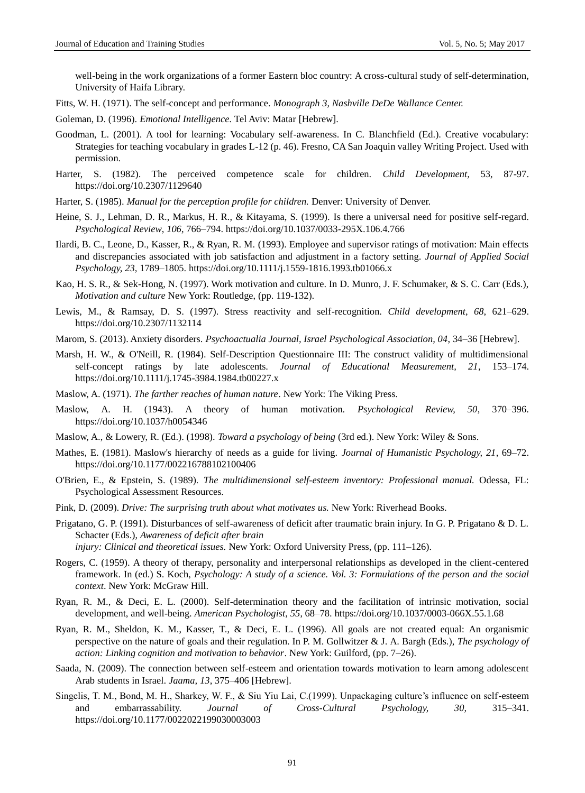well-being in the work organizations of a former Eastern bloc country: A cross-cultural study of self-determination, University of Haifa Library.

Fitts, W. H. (1971). The self-concept and performance. *Monograph 3, Nashville DeDe Wallance Center.*

Goleman, D. (1996). *Emotional Intelligence.* Tel Aviv: Matar [Hebrew].

- Goodman, L. (2001). A tool for learning: Vocabulary self-awareness. In C. Blanchfield (Ed.). Creative vocabulary: Strategies for teaching vocabulary in grades L-12 (p. 46). Fresno, CA San Joaquin valley Writing Project. Used with permission.
- Harter, S. (1982). The perceived competence scale for children. *Child Development,* 53, 87-97. <https://doi.org/10.2307/1129640>
- Harter, S. (1985). *Manual for the perception profile for children.* Denver: University of Denver.
- Heine, S. J., Lehman, D. R., Markus, H. R., & Kitayama, S. (1999). Is there a universal need for positive self-regard. *Psychological Review*, *106*, 766–794[. https://doi.org/10.1037/0033-295X.106.4.766](https://doi.org/10.1037/0033-295X.106.4.766)
- Ilardi, B. C., Leone, D., Kasser, R., & Ryan, R. M. (1993). Employee and supervisor ratings of motivation: Main effects and discrepancies associated with job satisfaction and adjustment in a factory setting. *Journal of Applied Social Psychology, 23,* 1789–1805.<https://doi.org/10.1111/j.1559-1816.1993.tb01066.x>
- Kao, H. S. R., & Sek-Hong, N. (1997). Work motivation and culture. In D. Munro, J. F. Schumaker, & S. C. Carr (Eds.), *Motivation and culture* New York: Routledge, (pp. 119-132).
- Lewis, M., & Ramsay, D. S. (1997). Stress reactivity and self-recognition. *Child development*, *68*, 621–629. <https://doi.org/10.2307/1132114>
- Marom, S. (2013). Anxiety disorders. *Psychoactualia Journal, Israel Psychological Association, 04*, 34–36 [Hebrew].
- Marsh, H. W., & O'Neill, R. (1984). Self-Description Questionnaire III: The construct validity of multidimensional self-concept ratings by late adolescents. *Journal of Educational Measurement, 21*, 153–174. <https://doi.org/10.1111/j.1745-3984.1984.tb00227.x>
- Maslow, A. (1971). *The farther reaches of human nature*. New York: The Viking Press.
- Maslow, A. H. (1943). A theory of human motivation. *Psychological Review, 50*, 370–396. <https://doi.org/10.1037/h0054346>
- Maslow, A., & Lowery, R. (Ed.). (1998). *Toward a psychology of being* (3rd ed.). New York: Wiley & Sons.
- Mathes, E. (1981). Maslow's hierarchy of needs as a guide for living. *Journal of Humanistic Psychology, 21*, 69–72. <https://doi.org/10.1177/002216788102100406>
- O'Brien, E., & Epstein, S. (1989). *The multidimensional self-esteem inventory: Professional manual.* Odessa, FL: Psychological Assessment Resources.
- Pink, D. (2009). *Drive: The surprising truth about what motivates us.* New York: Riverhead Books.
- Prigatano, G. P. (1991). Disturbances of self-awareness of deficit after traumatic brain injury. In G. P. Prigatano & D. L. Schacter (Eds.), *Awareness of deficit after brain*

*injury: Clinical and theoretical issues.* New York: Oxford University Press, (pp. 111–126).

- Rogers, C. (1959). A theory of therapy, personality and interpersonal relationships as developed in the client-centered framework. In (ed.) S. Koch, *Psychology: A study of a science. Vol. 3: Formulations of the person and the social context*. New York: McGraw Hill.
- Ryan, R. M., & Deci, E. L. (2000). Self-determination theory and the facilitation of intrinsic motivation, social development, and well-being. *American Psychologist*, *55*, 68–78. <https://doi.org/10.1037/0003-066X.55.1.68>
- Ryan, R. M., Sheldon, K. M., Kasser, T., & Deci, E. L. (1996). All goals are not created equal: An organismic perspective on the nature of goals and their regulation. In P. M. Gollwitzer & J. A. Bargh (Eds.), *The psychology of action: Linking cognition and motivation to behavior*. New York: Guilford, (pp. 7–26).
- Saada, N. (2009). The connection between self-esteem and orientation towards motivation to learn among adolescent Arab students in Israel. *Jaama, 13*, 375–406 [Hebrew].
- Singelis, T. M., Bond, M. H., Sharkey, W. F., & Siu Yiu Lai, C.(1999). Unpackaging culture's influence on self-esteem and embarrassability. *Journal of Cross-Cultural Psychology, 30,* 315–341. <https://doi.org/10.1177/0022022199030003003>